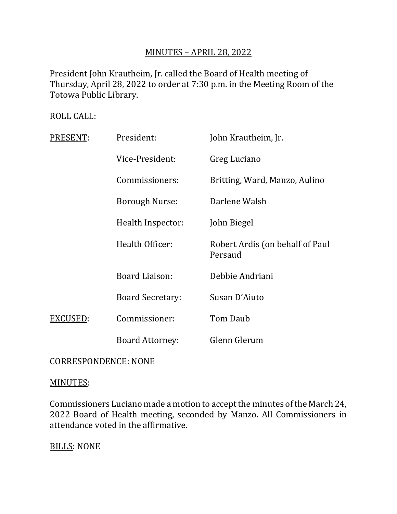# MINUTES – APRIL 28, 2022

President John Krautheim, Jr. called the Board of Health meeting of Thursday, April 28, 2022 to order at 7:30 p.m. in the Meeting Room of the Totowa Public Library.

# ROLL CALL:

| PRESENT: | President:              | John Krautheim, Jr.                        |
|----------|-------------------------|--------------------------------------------|
|          | Vice-President:         | Greg Luciano                               |
|          | Commissioners:          | Britting, Ward, Manzo, Aulino              |
|          | <b>Borough Nurse:</b>   | Darlene Walsh                              |
|          | Health Inspector:       | John Biegel                                |
|          | Health Officer:         | Robert Ardis (on behalf of Paul<br>Persaud |
|          | Board Liaison:          | Debbie Andriani                            |
|          | <b>Board Secretary:</b> | Susan D'Aiuto                              |
| EXCUSED: | Commissioner:           | Tom Daub                                   |
|          | <b>Board Attorney:</b>  | Glenn Glerum                               |

# CORRESPONDENCE: NONE

## MINUTES:

Commissioners Luciano made a motion to accept the minutes of the March 24, 2022 Board of Health meeting, seconded by Manzo. All Commissioners in attendance voted in the affirmative.

BILLS: NONE